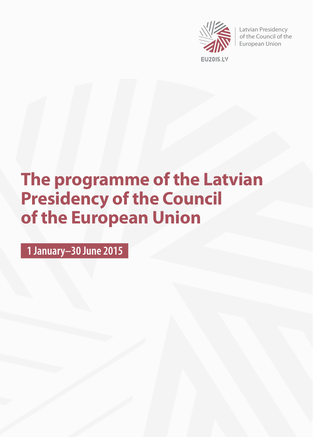

Latvian Presidency of the Council of the European Union

# **The programme of the Latvian Presidency of the Council of the European Union**

**1 January–30 June 2015**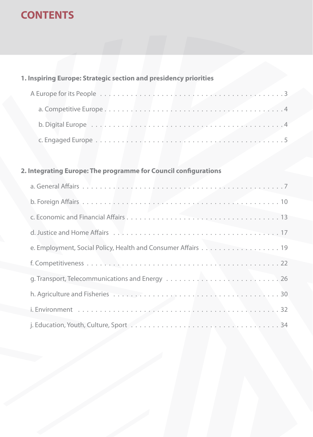# **CONTENTS**

#### **1. Inspiring Europe: Strategic section and presidency priorities**

#### **2. Integrating Europe: The programme for Council configurations**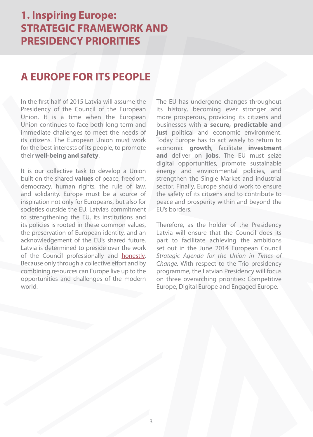#### **A EUROPE FOR ITS PEOPLE**

In the first half of 2015 Latvia will assume the Presidency of the Council of the European Union. It is a time when the European Union continues to face both long-term and immediate challenges to meet the needs of its citizens. The European Union must work for the best interests of its people, to promote their **well-being and safety**.

It is our collective task to develop a Union built on the shared **values** of peace, freedom, democracy, human rights, the rule of law, and solidarity. Europe must be a source of inspiration not only for Europeans, but also for societies outside the EU. Latvia's commitment to strengthening the EU, its institutions and its policies is rooted in these common values, the preservation of European identity, and an acknowledgement of the EU's shared future. Latvia is determined to preside over the work of the Council professionally and [honestly.](https://www.youtube.com/watch?v=CtnIUr8Q4E4) Because only through a collective effort and by combining resources can Europe live up to the opportunities and challenges of the modern world.

The EU has undergone changes throughout its history, becoming ever stronger and more prosperous, providing its citizens and businesses with **a secure, predictable and just** political and economic environment. Today Europe has to act wisely to return to economic **growth**, facilitate **investment and** deliver on **jobs**. The EU must seize digital opportunities, promote sustainable energy and environmental policies, and strengthen the Single Market and industrial sector. Finally, Europe should work to ensure the safety of its citizens and to contribute to peace and prosperity within and beyond the EU's borders.

Therefore, as the holder of the Presidency Latvia will ensure that the Council does its part to facilitate achieving the ambitions set out in the June 2014 European Council Strategic Agenda for the Union in Times of Change. With respect to the Trio presidency programme, the Latvian Presidency will focus on three overarching priorities: Competitive Europe, Digital Europe and Engaged Europe.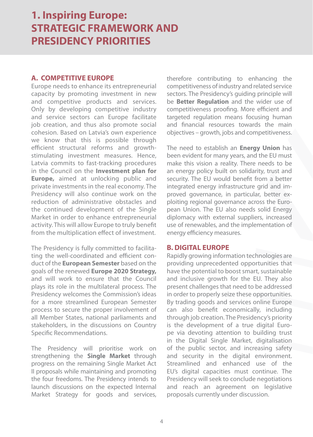#### **A. COMPETITIVE EUROPE**

Europe needs to enhance its entrepreneurial capacity by promoting investment in new and competitive products and services. Only by developing competitive industry and service sectors can Europe facilitate job creation, and thus also promote social cohesion. Based on Latvia's own experience we know that this is possible through efficient structural reforms and growthstimulating investment measures. Hence, Latvia commits to fast-tracking procedures in the Council on the **Investment plan for Europe,** aimed at unlocking public and private investments in the real economy. The Presidency will also continue work on the reduction of administrative obstacles and the continued development of the Single Market in order to enhance entrepreneurial activity. This will allow Europe to truly benefit from the multiplication effect of investment.

The Presidency is fully committed to facilitating the well-coordinated and efficient conduct of the **European Semester** based on the goals of the renewed **Europe 2020 Strategy,**  and will work to ensure that the Council plays its role in the multilateral process. The Presidency welcomes the Commission's ideas for a more streamlined European Semester process to secure the proper involvement of all Member States, national parliaments and stakeholders, in the discussions on Country Specific Recommendations.

The Presidency will prioritise work on strengthening the **Single Market** through progress on the remaining Single Market Act II proposals while maintaining and promoting the four freedoms. The Presidency intends to launch discussions on the expected Internal Market Strategy for goods and services,

therefore contributing to enhancing the competitiveness of industry and related service sectors. The Presidency's guiding principle will be **Better Regulation** and the wider use of competitiveness proofing. More efficient and targeted regulation means focusing human and financial resources towards the main objectives – growth, jobs and competitiveness.

The need to establish an **Energy Union** has been evident for many years, and the EU must make this vision a reality. There needs to be an energy policy built on solidarity, trust and security. The EU would benefit from a better integrated energy infrastructure grid and improved governance, in particular, better exploiting regional governance across the European Union. The EU also needs solid Energy diplomacy with external suppliers, increased use of renewables, and the implementation of energy efficiency measures.

#### **B. DIGITAL EUROPE**

Rapidly growing information technologies are providing unprecedented opportunities that have the potential to boost smart, sustainable and inclusive growth for the EU. They also present challenges that need to be addressed in order to properly seize these opportunities. By trading goods and services online Europe can also benefit economically, including through job creation. The Presidency's priority is the development of a true digital Europe via devoting attention to building trust in the Digital Single Market, digitalisation of the public sector, and increasing safety and security in the digital environment. Streamlined and enhanced use of the EU's digital capacities must continue. The Presidency will seek to conclude negotiations and reach an agreement on legislative proposals currently under discussion.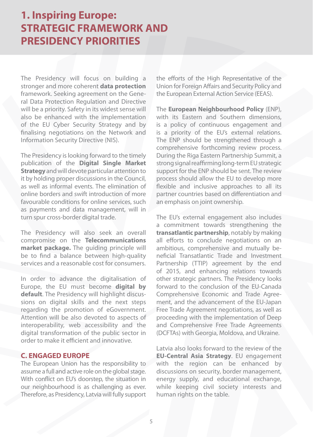The Presidency will focus on building a stronger and more coherent **data protection** framework. Seeking agreement on the General Data Protection Regulation and Directive will be a priority. Safety in its widest sense will also be enhanced with the implementation of the EU Cyber Security Strategy and by finalising negotiations on the Network and Information Security Directive (NIS).

The Presidency is looking forward to the timely publication of the **Digital Single Market Strategy** and will devote particular attention to it by holding proper discussions in the Council, as well as informal events. The elimination of online borders and swift introduction of more favourable conditions for online services, such as payments and data management, will in turn spur cross-border digital trade.

The Presidency will also seek an overall compromise on the **Telecommunications market package.** The guiding principle will be to find a balance between high-quality services and a reasonable cost for consumers.

In order to advance the digitalisation of Europe, the EU must become **digital by default**. The Presidency will highlight discussions on digital skills and the next steps regarding the promotion of eGovernment. Attention will be also devoted to aspects of interoperability, web accessibility and the digital transformation of the public sector in order to make it efficient and innovative.

#### **C. ENGAGED EUROPE**

The European Union has the responsibility to assume a full and active role on the global stage. With conflict on EU's doorstep, the situation in our neighbourhood is as challenging as ever. Therefore, as Presidency, Latvia will fully support the efforts of the High Representative of the Union for Foreign Affairs and Security Policy and the European External Action Service (EEAS).

The **European Neighbourhood Policy** (ENP), with its Eastern and Southern dimensions, is a policy of continuous engagement and is a priority of the EU's external relations. The ENP should be strengthened through a comprehensive forthcoming review process. During the Riga Eastern Partnership Summit, a strong signal reaffirming long-term EU strategic support for the ENP should be sent. The review process should allow the EU to develop more flexible and inclusive approaches to all its partner countries based on differentiation and an emphasis on joint ownership.

The EU's external engagement also includes a commitment towards strengthening the **transatlantic partnership**, notably by making all efforts to conclude negotiations on an ambitious, comprehensive and mutually beneficial Transatlantic Trade and Investment Partnership (TTIP) agreement by the end of 2015, and enhancing relations towards other strategic partners. The Presidency looks forward to the conclusion of the EU-Canada Comprehensive Economic and Trade Agreement, and the advancement of the EU-Japan Free Trade Agreement negotiations, as well as proceeding with the implementation of Deep and Comprehensive Free Trade Agreements (DCFTAs) with Georgia, Moldova, and Ukraine.

Latvia also looks forward to the review of the **EU-Central Asia Strategy**. EU engagement with the region can be enhanced by discussions on security, border management, energy supply, and educational exchange, while keeping civil society interests and human rights on the table.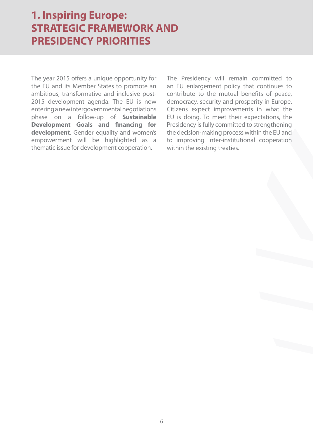The year 2015 offers a unique opportunity for the EU and its Member States to promote an ambitious, transformative and inclusive post-2015 development agenda. The EU is now entering a new intergovernmental negotiations phase on a follow-up of **Sustainable Development Goals and financing for development**. Gender equality and women's empowerment will be highlighted as a thematic issue for development cooperation.

The Presidency will remain committed to an EU enlargement policy that continues to contribute to the mutual benefits of peace, democracy, security and prosperity in Europe. Citizens expect improvements in what the EU is doing. To meet their expectations, the Presidency is fully committed to strengthening the decision-making process within the EU and to improving inter-institutional cooperation within the existing treaties.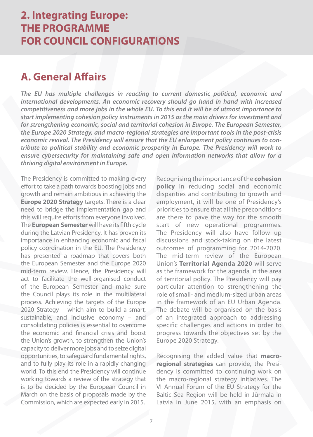#### **A. General Affairs**

**The EU has multiple challenges in reacting to current domestic political, economic and international developments. An economic recovery should go hand in hand with increased competitiveness and more jobs in the whole EU. To this end it will be of utmost importance to start implementing cohesion policy instruments in 2015 as the main drivers for investment and for strengthening economic, social and territorial cohesion in Europe. The European Semester, the Europe 2020 Strategy, and macro-regional strategies are important tools in the post-crisis economic revival. The Presidency will ensure that the EU enlargement policy continues to contribute to political stability and economic prosperity in Europe. The Presidency will work to ensure cybersecurity for maintaining safe and open information networks that allow for a thriving digital environment in Europe.**

The Presidency is committed to making every effort to take a path towards boosting jobs and growth and remain ambitious in achieving the **Europe 2020 Strategy** targets. There is a clear need to bridge the implementation gap and this will require efforts from everyone involved. The **European Semester** will have its fifth cycle during the Latvian Presidency. It has proven its importance in enhancing economic and fiscal policy coordination in the EU. The Presidency has presented a roadmap that covers both the European Semester and the Europe 2020 mid-term review. Hence, the Presidency will act to facilitate the well-organised conduct of the European Semester and make sure the Council plays its role in the multilateral process. Achieving the targets of the Europe 2020 Strategy – which aim to build a smart, sustainable, and inclusive economy – and consolidating policies is essential to overcome the economic and financial crisis and boost the Union's growth, to strengthen the Union's capacity to deliver more jobs and to seize digital opportunities, to safeguard fundamental rights, and to fully play its role in a rapidly changing world. To this end the Presidency will continue working towards a review of the strategy that is to be decided by the European Council in March on the basis of proposals made by the Commission, which are expected early in 2015.

Recognising the importance of the **cohesion policy** in reducing social and economic disparities and contributing to growth and employment, it will be one of Presidency's priorities to ensure that all the preconditions are there to pave the way for the smooth start of new operational programmes. The Presidency will also have follow up discussions and stock-taking on the latest outcomes of programming for 2014-2020. The mid-term review of the European Union's **Territorial Agenda 2020** will serve as the framework for the agenda in the area of territorial policy. The Presidency will pay particular attention to strengthening the role of small- and medium-sized urban areas in the framework of an EU Urban Agenda. The debate will be organised on the basis of an integrated approach to addressing specific challenges and actions in order to progress towards the objectives set by the Europe 2020 Strategy.

Recognising the added value that **macroregional strategies** can provide, the Presidency is committed to continuing work on the macro-regional strategy initiatives. The VI Annual Forum of the EU Strategy for the Baltic Sea Region will be held in Jūrmala in Latvia in June 2015, with an emphasis on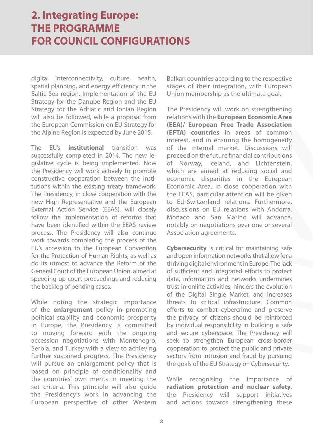digital interconnectivity, culture, health, spatial planning, and energy efficiency in the Baltic Sea region. Implementation of the EU Strategy for the Danube Region and the EU Strategy for the Adriatic and Ionian Region will also be followed, while a proposal from the European Commission on EU Strategy for the Alpine Region is expected by June 2015.

The EU's **institutional** transition was successfully completed in 2014. The new legislative cycle is being implemented. Now the Presidency will work actively to promote constructive cooperation between the institutions within the existing treaty framework. The Presidency, in close cooperation with the new High Representative and the European External Action Service (EEAS), will closely follow the implementation of reforms that have been identified within the EEAS review process. The Presidency will also continue work towards completing the process of the EU's accession to the European Convention for the Protection of Human Rights, as well as do its utmost to advance the Reform of the General Court of the European Union, aimed at speeding up court proceedings and reducing the backlog of pending cases.

While noting the strategic importance of the **enlargement** policy in promoting political stability and economic prosperity in Europe, the Presidency is committed to moving forward with the ongoing accession negotiations with Montenegro, Serbia, and Turkey with a view to achieving further sustained progress. The Presidency will pursue an enlargement policy that is based on principle of conditionality and the countries' own merits in meeting the set criteria. This principle will also quide the Presidency's work in advancing the European perspective of other Western

Balkan countries according to the respective stages of their integration, with European Union membership as the ultimate goal.

The Presidency will work on strengthening relations with the **European Economic Area (EEA)/ European Free Trade Association (EFTA) countries** in areas of common interest, and in ensuring the homogeneity of the internal market. Discussions will proceed on the future financial contributions of Norway, Iceland, and Lichtenstein, which are aimed at reducing social and economic disparities in the European Economic Area. In close cooperation with the EEAS, particular attention will be given to EU-Switzerland relations. Furthermore, discussions on EU relations with Andorra, Monaco and San Marino will advance, notably on negotiations over one or several Association agreements.

**Cybersecurity** is critical for maintaining safe and open information networks that allow for a thriving digital environment in Europe. The lack of sufficient and integrated efforts to protect data, information and networks undermines trust in online activities, hinders the evolution of the Digital Single Market, and increases threats to critical infrastructure. Common efforts to combat cybercrime and preserve the privacy of citizens should be reinforced by individual responsibility in building a safe and secure cyberspace. The Presidency will seek to strengthen European cross-border cooperation to protect the public and private sectors from intrusion and fraud by pursuing the goals of the EU Strategy on Cybersecurity.

While recognising the importance of **radiation protection and nuclear safety**, the Presidency will support initiatives and actions towards strengthening these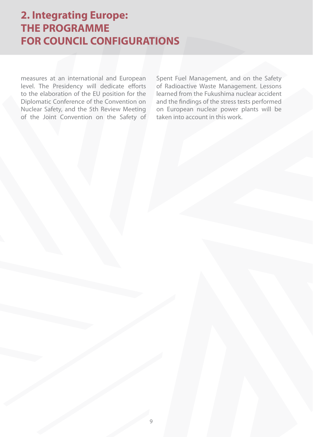measures at an international and European level. The Presidency will dedicate efforts to the elaboration of the EU position for the Diplomatic Conference of the Convention on Nuclear Safety, and the 5th Review Meeting of the Joint Convention on the Safety of Spent Fuel Management, and on the Safety of Radioactive Waste Management. Lessons learned from the Fukushima nuclear accident and the findings of the stress tests performed on European nuclear power plants will be taken into account in this work.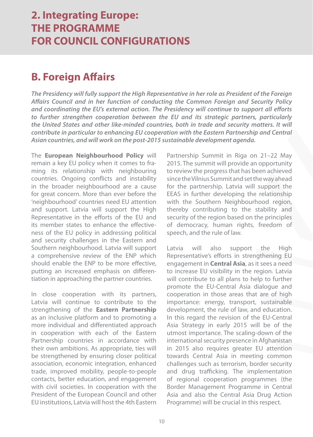## **B. Foreign Affairs**

**The Presidency will fully support the High Representative in her role as President of the Foreign Affairs Council and in her function of conducting the Common Foreign and Security Policy and coordinating the EU's external action. The Presidency will continue to support all efforts to further strengthen cooperation between the EU and its strategic partners, particularly the United States and other like-minded countries, both in trade and security matters. It will contribute in particular to enhancing EU cooperation with the Eastern Partnership and Central Asian countries, and will work on the post-2015 sustainable development agenda.**

The **European Neighbourhood Policy** will remain a key EU policy when it comes to framing its relationship with neighbouring countries. Ongoing conflicts and instability in the broader neighbourhood are a cause for great concern. More than ever before the 'neighbourhood' countries need EU attention and support. Latvia will support the High Representative in the efforts of the EU and its member states to enhance the effectiveness of the EU policy in addressing political and security challenges in the Eastern and Southern neighbourhood. Latvia will support a comprehensive review of the ENP which should enable the ENP to be more effective, putting an increased emphasis on differentiation in approaching the partner countries.

In close cooperation with its partners, Latvia will continue to contribute to the strengthening of the **Eastern Partnership** as an inclusive platform and to promoting a more individual and differentiated approach in cooperation with each of the Eastern Partnership countries in accordance with their own ambitions. As appropriate, ties will be strengthened by ensuring closer political association, economic integration, enhanced trade, improved mobility, people-to-people contacts, better education, and engagement with civil societies. In cooperation with the President of the European Council and other EU institutions, Latvia will host the 4th Eastern

Partnership Summit in Riga on 21–22 May 2015. The summit will provide an opportunity to review the progress that has been achieved since the Vilnius Summit and set the way ahead for the partnership. Latvia will support the EEAS in further developing the relationship with the Southern Neighbourhood region. thereby contributing to the stability and security of the region based on the principles of democracy, human rights, freedom of speech, and the rule of law.

Latvia will also support the High Representative's efforts in strengthening EU engagement in **Central Asia**, as it sees a need to increase EU visibility in the region. Latvia will contribute to all plans to help to further promote the EU-Central Asia dialogue and cooperation in those areas that are of high importance: energy, transport, sustainable development, the rule of law, and education. In this regard the revision of the EU-Central Asia Strategy in early 2015 will be of the utmost importance. The scaling-down of the international security presence in Afghanistan in 2015 also requires greater EU attention towards Central Asia in meeting common challenges such as terrorism, border security and drug trafficking. The implementation of regional cooperation programmes (the Border Management Programme in Central Asia and also the Central Asia Drug Action Programme) will be crucial in this respect.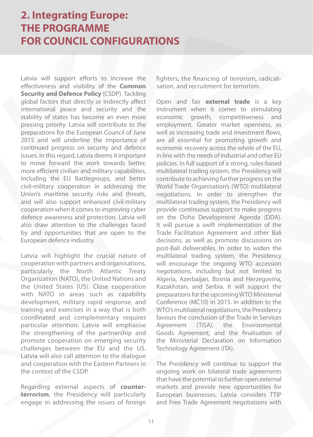Latvia will support efforts to increase the effectiveness and visibility of the **Common Security and Defence Policy** (CSDP). Tackling global factors that directly or indirectly affect international peace and security and the stability of states has become an even more pressing priority. Latvia will contribute to the preparations for the European Council of June 2015 and will underline the importance of continued progress on security and defence issues. In this regard, Latvia deems it important to move forward the work towards better, more efficient civilian and military capabilities, including the EU Battlegroups, and better civil-military cooperation in addressing the Union's maritime security risks and threats, and will also support enhanced civil-military cooperation when it comes to improving cyber defence awareness and protection. Latvia will also draw attention to the challenges faced by and opportunities that are open to the European defence industry.

Latvia will highlight the crucial nature of cooperation with partners and organisations, particularly the North Atlantic Treaty Organization (NATO), the United Nations and the United States (US). Close cooperation with NATO in areas such as capability development, military rapid response, and training and exercises in a way that is both coordinated and complementary requires particular attention. Latvia will emphasise the strengthening of the partnership and promote cooperation on emerging security challenges between the EU and the US. Latvia will also call attention to the dialogue and cooperation with the Eastern Partners in the context of the CSDP.

Regarding external aspects of **counterterrorism**, the Presidency will particularly engage in addressing the issues of foreign fighters, the financing of terrorism, radicalisation, and recruitment for terrorism.

Open and fair **external trade** is a key instrument when it comes to stimulating economic growth, competitiveness and employment. Greater market openness, as well as increasing trade and investment flows, are all essential for promoting growth and economic recovery across the whole of the EU, in line with the needs of industrial and other EU policies. In full support of a strong, rules-based multilateral trading system, the Presidency will contribute to achieving further progress on the World Trade Organisation's (WTO) multilateral negotiations. In order to strengthen the multilateral trading system, the Presidency will provide continuous support to make progress on the Doha Development Agenda (DDA). It will pursue a swift implementation of the Trade Facilitation Agreement and other Bali decisions, as well as promote discussions on post-Bali deliverables. In order to widen the multilateral trading system, the Presidency will encourage the ongoing WTO accession negotiations, including but not limited to Algeria, Azerbaijan, Bosnia and Herzegovina, Kazakhstan, and Serbia. It will support the preparations for the upcoming WTO Ministerial Conference (MC10) in 2015. In addition to the WTO's multilateral negotiations, the Presidency favours the conclusion of the Trade in Services Agreement (TiSA), the Environmental Goods Agreement, and the finalisation of the Ministerial Declaration on Information Technology Agreement (ITA).

The Presidency will continue to support the ongoing work on bilateral trade agreements that have the potential to further open external markets and provide new opportunities for European businesses. Latvia considers TTIP and Free Trade Agreement negotiations with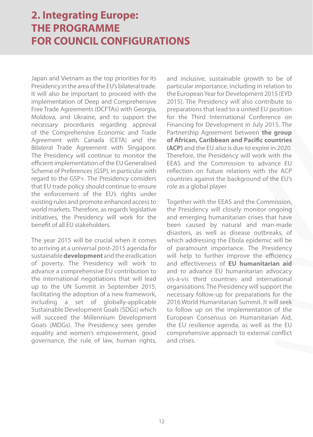Japan and Vietnam as the top priorities for its Presidency in the area of the EU's bilateral trade. It will also be important to proceed with the implementation of Deep and Comprehensive Free Trade Agreements (DCFTAs) with Georgia, Moldova, and Ukraine, and to support the necessary procedures regarding approval of the Comprehensive Economic and Trade Agreement with Canada (CETA) and the Bilateral Trade Agreement with Singapore. The Presidency will continue to monitor the efficient implementation of the EU Generalised Scheme of Preferences (GSP), in particular with regard to the GSP+. The Presidency considers that EU trade policy should continue to ensure the enforcement of the EU's rights under existing rules and promote enhanced access to world markets. Therefore, as regards legislative initiatives, the Presidency will work for the benefit of all EU stakeholders.

The year 2015 will be crucial when it comes to arriving at a universal post-2015 agenda for sustainable **development** and the eradication of poverty. The Presidency will work to advance a comprehensive EU contribution to the international negotiations that will lead up to the UN Summit in September 2015, facilitating the adoption of a new framework, including a set of globally-applicable Sustainable Development Goals (SDGs) which will succeed the Millennium Development Goals (MDGs). The Presidency sees gender equality and women's empowerment, good governance, the rule of law, human rights, and inclusive, sustainable growth to be of particular importance, including in relation to the European Year for Development 2015 (EYD 2015). The Presidency will also contribute to preparations that lead to a united EU position for the Third International Conference on Financing for Development in July 2015. The Partnership Agreement between **the group of African, Caribbean and Pacific countries (ACP)** and the EU also is due to expire in 2020. Therefore, the Presidency will work with the EEAS and the Commission to advance EU reflection on future relations with the ACP countries against the background of the EU's role as a global player.

Together with the EEAS and the Commission, the Presidency will closely monitor ongoing and emerging humanitarian crises that have been caused by natural and man-made disasters, as well as disease outbreaks, of which addressing the Ebola epidemic will be of paramount importance. The Presidency will help to further improve the efficiency and effectiveness of **EU humanitarian aid** and to advance EU humanitarian advocacy vis-à-vis third countries and international organisations. The Presidency will support the necessary follow-up for preparations for the 2016 World Humanitarian Summit. It will seek to follow up on the implementation of the European Consensus on Humanitarian Aid, the EU resilience agenda, as well as the EU comprehensive approach to external conflict and crises.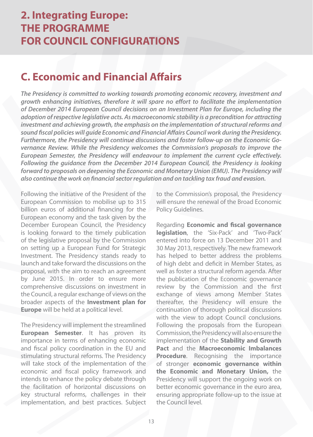## **C. Economic and Financial Affairs**

**The Presidency is committed to working towards promoting economic recovery, investment and growth enhancing initiatives, therefore it will spare no effort to facilitate the implementation of December 2014 European Council decisions on an Investment Plan for Europe, including the adoption of respective legislative acts. As macroeconomic stability is a precondition for attracting investment and achieving growth, the emphasis on the implementation of structural reforms and sound fiscal policies will guide Economic and Financial Affairs Council work during the Presidency. Furthermore, the Presidency will continue discussions and foster follow-up on the Economic Governance Review. While the Presidency welcomes the Commission's proposals to improve the European Semester, the Presidency will endeavour to implement the current cycle effectively. Following the guidance from the December 2014 European Council, the Presidency is looking forward to proposals on deepening the Economic and Monetary Union (EMU). The Presidency will also continue the work on financial sector regulation and on tackling tax fraud and evasion.**

Following the initiative of the President of the European Commission to mobilise up to 315 billion euros of additional financing for the European economy and the task given by the December European Council, the Presidency is looking forward to the timely publication of the legislative proposal by the Commission on setting up a European Fund for Strategic Investment. The Presidency stands ready to launch and take forward the discussions on the proposal, with the aim to reach an agreement by June 2015. In order to ensure more comprehensive discussions on investment in the Council, a regular exchange of views on the broader aspects of the **Investment plan for Europe** will be held at a political level.

The Presidency will implement the streamlined **European Semester**. It has proven its importance in terms of enhancing economic and fiscal policy coordination in the EU and stimulating structural reforms. The Presidency will take stock of the implementation of the economic and fiscal policy framework and intends to enhance the policy debate through the facilitation of horizontal discussions on key structural reforms, challenges in their implementation, and best practices. Subject to the Commission's proposal, the Presidency will ensure the renewal of the Broad Economic Policy Guidelines.

Regarding **Economic and fiscal governance legislation**, the 'Six-Pack' and 'Two-Pack' entered into force on 13 December 2011 and 30 May 2013, respectively. The new framework has helped to better address the problems of high debt and deficit in Member States, as well as foster a structural reform agenda. After the publication of the Economic governance review by the Commission and the first exchange of views among Member States thereafter, the Presidency will ensure the continuation of thorough political discussions with the view to adopt Council conclusions. Following the proposals from the European Commission, the Presidency will also ensure the implementation of the **Stability and Growth Pact** and the **Macroeconomic Imbalances Procedure**. Recognising the importance of stronger **economic governance within the Economic and Monetary Union,** the Presidency will support the ongoing work on better economic governance in the euro area. ensuring appropriate follow-up to the issue at the Council level.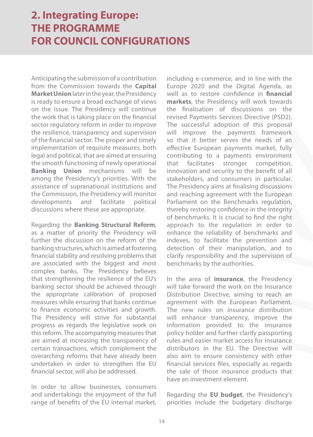Anticipating the submission of a contribution from the Commission towards the **Capital Market Union** later in the year, the Presidency is ready to ensure a broad exchange of views on the issue. The Presidency will continue the work that is taking place on the financial sector regulatory reform in order to improve the resilience, transparency and supervision of the financial sector. The proper and timely implementation of requisite measures, both legal and political, that are aimed at ensuring the smooth functioning of newly operational **Banking Union** mechanisms will be among the Presidency's priorities. With the assistance of supranational institutions and the Commission, the Presidency will monitor developments and facilitate political discussions where these are appropriate.

Regarding the **Banking Structural Reform**, as a matter of priority the Presidency will further the discussion on the reform of the banking structures, which is aimed at fostering financial stability and resolving problems that are associated with the biggest and most complex banks. The Presidency believes that strengthening the resilience of the EU's banking sector should be achieved through the appropriate calibration of proposed measures while ensuring that banks continue to finance economic activities and growth. The Presidency will strive for substantial progress as regards the legislative work on this reform. The accompanying measures that are aimed at increasing the transparency of certain transactions, which complement the overarching reforms that have already been undertaken in order to strengthen the EU financial sector, will also be addressed.

In order to allow businesses, consumers and undertakings the enjoyment of the full range of benefits of the EU internal market,

including e-commerce, and in line with the Europe 2020 and the Digital Agenda, as well as to restore confidence in **financial markets**, the Presidency will work towards the finalisation of discussions on the revised Payments Services Directive (PSD2). The successful adoption of this proposal will improve the payments framework so that it better serves the needs of an effective European payments market, fully contributing to a payments environment that facilitates stronger competition, innovation and security to the benefit of all stakeholders, and consumers in particular. The Presidency aims at finalising discussions and reaching agreement with the European Parliament on the Benchmarks regulation, thereby restoring confidence in the integrity of benchmarks. It is crucial to find the right approach to the regulation in order to enhance the reliability of benchmarks and indexes, to facilitate the prevention and detection of their manipulation, and to clarify responsibility and the supervision of benchmarks by the authorities.

In the area of **insurance**, the Presidency will take forward the work on the Insurance Distribution Directive, aiming to reach an agreement with the European Parliament. The new rules on insurance distribution will enhance transparency, improve the information provided to the insurance policy holder and further clarify passporting rules and easier market access for insurance distributors in the EU. The Directive will also aim to ensure consistency with other financial services files, especially as regards the sale of those insurance products that have an investment element.

Regarding the **EU budget**, the Presidency's priorities include the budgetary discharge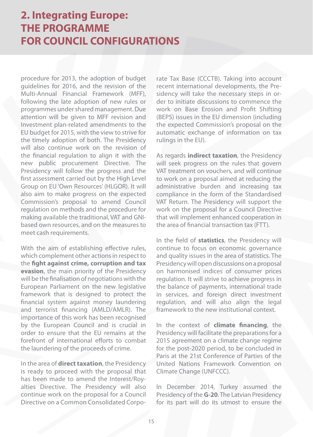procedure for 2013, the adoption of budget guidelines for 2016, and the revision of the Multi-Annual Financial Framework (MFF), following the late adoption of new rules or programmes under shared management. Due attention will be given to MFF revision and Investment plan-related amendments to the EU budget for 2015, with the view to strive for the timely adoption of both. The Presidency will also continue work on the revision of the financial regulation to align it with the new public procurement Directive. The Presidency will follow the progress and the first assessment carried out by the High Level Group on EU 'Own Resources' (HLGOR). It will also aim to make progress on the expected Commission's proposal to amend Council regulation on methods and the procedure for making available the traditional, VAT and GNIbased own resources, and on the measures to meet cash requirements.

With the aim of establishing effective rules, which complement other actions in respect to the **fight against crime, corruption and tax evasion**, the main priority of the Presidency will be the finalisation of negotiations with the European Parliament on the new legislative framework that is designed to protect the financial system against money laundering and terrorist financing (AMLD/AMLR). The importance of this work has been recognised by the European Council and is crucial in order to ensure that the EU remains at the forefront of international efforts to combat the laundering of the proceeds of crime.

In the area of **direct taxation**, the Presidency is ready to proceed with the proposal that has been made to amend the Interest/Royalties Directive. The Presidency will also continue work on the proposal for a Council Directive on a Common Consolidated Corpo-

rate Tax Base (CCCTB). Taking into account recent international developments, the Presidency will take the necessary steps in order to initiate discussions to commence the work on Base Erosion and Profit Shifting (BEPS) issues in the EU dimension (including the expected Commission's proposal on the automatic exchange of information on tax rulings in the EU).

As regards **indirect taxation**, the Presidency will seek progress on the rules that govern VAT treatment on vouchers, and will continue to work on a proposal aimed at reducing the administrative burden and increasing tax compliance in the form of the Standardised VAT Return. The Presidency will support the work on the proposal for a Council Directive that will implement enhanced cooperation in the area of financial transaction tax (FTT).

In the field of **statistics**, the Presidency will continue to focus on economic governance and quality issues in the area of statistics. The Presidency will open discussions on a proposal on harmonised indices of consumer prices regulation. It will strive to achieve progress in the balance of payments, international trade in services, and foreign direct investment regulation, and will also align the legal framework to the new institutional context.

In the context of **climate financing**, the Presidency will facilitate the preparations for a 2015 agreement on a climate change regime for the post-2020 period, to be concluded in Paris at the 21st Conference of Parties of the United Nations Framework Convention on Climate Change (UNFCCC).

In December 2014, Turkey assumed the Presidency of the **G-20**. The Latvian Presidency for its part will do its utmost to ensure the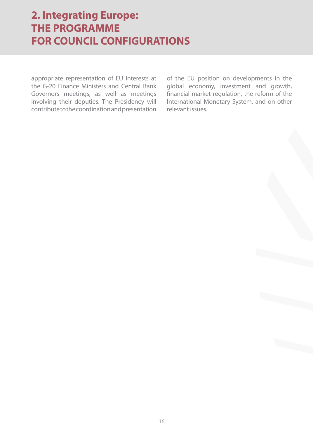appropriate representation of EU interests at the G-20 Finance Ministers and Central Bank Governors meetings, as well as meetings involving their deputies. The Presidency will contribute to the coordination and presentation

of the EU position on developments in the global economy, investment and growth, financial market regulation, the reform of the International Monetary System, and on other relevant issues.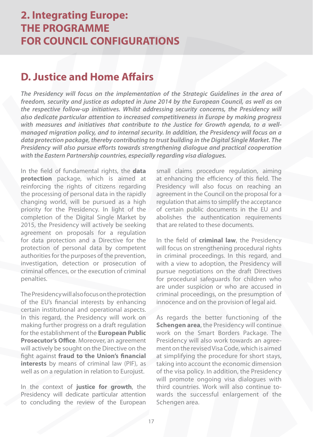#### **D. Justice and Home Affairs**

**The Presidency will focus on the implementation of the Strategic Guidelines in the area of freedom, security and justice as adopted in June 2014 by the European Council, as well as on the respective follow-up initiatives. Whilst addressing security concerns, the Presidency will also dedicate particular attention to increased competitiveness in Europe by making progress with measures and initiatives that contribute to the Justice for Growth agenda, to a wellmanaged migration policy, and to internal security. In addition, the Presidency will focus on a data protection package, thereby contributing to trust building in the Digital Single Market. The Presidency will also pursue efforts towards strengthening dialogue and practical cooperation with the Eastern Partnership countries, especially regarding visa dialogues.**

In the field of fundamental rights, the **data protection** package, which is aimed at reinforcing the rights of citizens regarding the processing of personal data in the rapidly changing world, will be pursued as a high priority for the Presidency. In light of the completion of the Digital Single Market by 2015, the Presidency will actively be seeking agreement on proposals for a regulation for data protection and a Directive for the protection of personal data by competent authorities for the purposes of the prevention, investigation, detection or prosecution of criminal offences, or the execution of criminal penalties.

The Presidency will also focus on the protection of the EU's financial interests by enhancing certain institutional and operational aspects. In this regard, the Presidency will work on making further progress on a draft regulation for the establishment of the **European Public Prosecutor's Office**. Moreover, an agreement will actively be sought on the Directive on the fight against **fraud to the Union's financial interests** by means of criminal law (PIF), as well as on a regulation in relation to Eurojust.

In the context of **justice for growth**, the Presidency will dedicate particular attention to concluding the review of the European small claims procedure regulation, aiming at enhancing the efficiency of this field. The Presidency will also focus on reaching an agreement in the Council on the proposal for a regulation that aims to simplify the acceptance of certain public documents in the EU and abolishes the authentication requirements that are related to these documents.

In the field of **criminal law**, the Presidency will focus on strengthening procedural rights in criminal proceedings. In this regard, and with a view to adoption, the Presidency will pursue negotiations on the draft Directives for procedural safeguards for children who are under suspicion or who are accused in criminal proceedings, on the presumption of innocence and on the provision of legal aid.

As regards the better functioning of the **Schengen area**, the Presidency will continue work on the Smart Borders Package. The Presidency will also work towards an agreement on the revised Visa Code, which is aimed at simplifying the procedure for short stays, taking into account the economic dimension of the visa policy. In addition, the Presidency will promote ongoing visa dialogues with third countries. Work will also continue towards the successful enlargement of the Schengen area.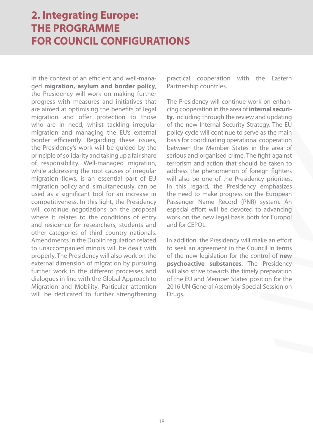In the context of an efficient and well-managed **migration, asylum and border policy**, the Presidency will work on making further progress with measures and initiatives that are aimed at optimising the benefits of legal migration and offer protection to those who are in need, whilst tackling irregular migration and managing the EU's external border efficiently. Regarding these issues, the Presidency's work will be guided by the principle of solidarity and taking up a fair share of responsibility. Well-managed migration, while addressing the root causes of irregular migration flows, is an essential part of EU migration policy and, simultaneously, can be used as a significant tool for an increase in competitiveness. In this light, the Presidency will continue negotiations on the proposal where it relates to the conditions of entry and residence for researchers, students and other categories of third country nationals. Amendments in the Dublin regulation related to unaccompanied minors will be dealt with properly. The Presidency will also work on the external dimension of migration by pursuing further work in the different processes and dialogues in line with the Global Approach to Migration and Mobility. Particular attention will be dedicated to further strengthening

practical cooperation with the Eastern Partnership countries.

The Presidency will continue work on enhancing cooperation in the area of **internal security**, including through the review and updating of the new Internal Security Strategy. The EU policy cycle will continue to serve as the main basis for coordinating operational cooperation between the Member States in the area of serious and organised crime. The fight against terrorism and action that should be taken to address the phenomenon of foreign fighters will also be one of the Presidency priorities. In this regard, the Presidency emphasizes the need to make progress on the European Passenger Name Record (PNR) system. An especial effort will be devoted to advancing work on the new legal basis both for Europol and for CEPOL.

In addition, the Presidency will make an effort to seek an agreement in the Council in terms of the new legislation for the control of **new psychoactive substances**. The Presidency will also strive towards the timely preparation of the EU and Member States' position for the 2016 UN General Assembly Special Session on Drugs.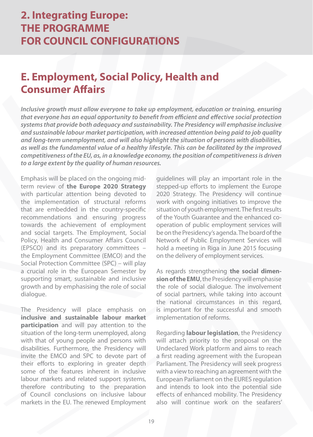#### **E. Employment, Social Policy, Health and Consumer Affairs**

**Inclusive growth must allow everyone to take up employment, education or training, ensuring that everyone has an equal opportunity to benefit from efficient and effective social protection systems that provide both adequacy and sustainability. The Presidency will emphasise inclusive and sustainable labour market participation, with increased attention being paid to job quality and long-term unemployment, and will also highlight the situation of persons with disabilities, as well as the fundamental value of a healthy lifestyle. This can be facilitated by the improved competitiveness of the EU, as, in a knowledge economy, the position of competitiveness is driven to a large extent by the quality of human resources.**

Emphasis will be placed on the ongoing midterm review of **the Europe 2020 Strategy** with particular attention being devoted to the implementation of structural reforms that are embedded in the country-specific recommendations and ensuring progress towards the achievement of employment and social targets. The Employment, Social Policy, Health and Consumer Affairs Council (EPSCO) and its preparatory committees – the Employment Committee (EMCO) and the Social Protection Committee (SPC) – will play a crucial role in the European Semester by supporting smart, sustainable and inclusive growth and by emphasising the role of social dialogue.

The Presidency will place emphasis on **inclusive and sustainable labour market participation** and will pay attention to the situation of the long-term unemployed, along with that of young people and persons with disabilities. Furthermore, the Presidency will invite the EMCO and SPC to devote part of their efforts to exploring in greater depth some of the features inherent in inclusive labour markets and related support systems, therefore contributing to the preparation of Council conclusions on inclusive labour markets in the EU. The renewed Employment guidelines will play an important role in the stepped-up efforts to implement the Europe 2020 Strategy. The Presidency will continue work with ongoing initiatives to improve the situation of youth employment. The first results of the Youth Guarantee and the enhanced cooperation of public employment services will be on the Presidency's agenda. The board of the Network of Public Employment Services will hold a meeting in Riga in June 2015 focusing on the delivery of employment services.

As regards strengthening **the social dimension of the EMU**, the Presidency will emphasise the role of social dialogue. The involvement of social partners, while taking into account the national circumstances in this regard, is important for the successful and smooth implementation of reforms.

Regarding **labour legislation**, the Presidency will attach priority to the proposal on the Undeclared Work platform and aims to reach a first reading agreement with the European Parliament. The Presidency will seek progress with a view to reaching an agreement with the European Parliament on the EURES regulation and intends to look into the potential side effects of enhanced mobility. The Presidency also will continue work on the seafarers'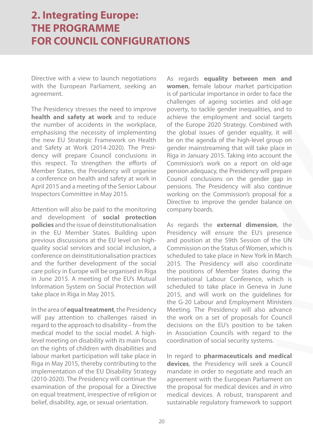Directive with a view to launch negotiations with the European Parliament, seeking an agreement.

The Presidency stresses the need to improve **health and safety at work** and to reduce the number of accidents in the workplace, emphasising the necessity of implementing the new EU Strategic Framework on Health and Safety at Work (2014-2020). The Presidency will prepare Council conclusions in this respect. To strengthen the efforts of Member States, the Presidency will organise a conference on health and safety at work in April 2015 and a meeting of the Senior Labour Inspectors Committee in May 2015.

Attention will also be paid to the monitoring and development of **social protection policies** and the issue of deinstitutionalisation in the EU Member States. Building upon previous discussions at the EU level on highquality social services and social inclusion, a conference on deinstitutionalisation practices and the further development of the social care policy in Europe will be organised in Riga in June 2015. A meeting of the EU's Mutual Information System on Social Protection will take place in Riga in May 2015.

In the area of **equal treatment**, the Presidency will pay attention to challenges raised in regard to the approach to disability – from the medical model to the social model. A highlevel meeting on disability with its main focus on the rights of children with disabilities and labour market participation will take place in Riga in May 2015, thereby contributing to the implementation of the EU Disability Strategy (2010-2020). The Presidency will continue the examination of the proposal for a Directive on equal treatment, irrespective of religion or belief, disability, age, or sexual orientation.

As regards **equality between men and women**, female labour market participation is of particular importance in order to face the challenges of ageing societies and old-age poverty, to tackle gender inequalities, and to achieve the employment and social targets of the Europe 2020 Strategy. Combined with the global issues of gender equality, it will be on the agenda of the high-level group on gender mainstreaming that will take place in Riga in January 2015. Taking into account the Commission's work on a report on old-age pension adequacy, the Presidency will prepare Council conclusions on the gender gap in pensions. The Presidency will also continue working on the Commission's proposal for a Directive to improve the gender balance on company boards.

As regards the **external dimension**, the Presidency will ensure the EU's presence and position at the 59th Session of the UN Commission on the Status of Women, which is scheduled to take place in New York in March 2015. The Presidency will also coordinate the positions of Member States during the International Labour Conference, which is scheduled to take place in Geneva in June 2015, and will work on the guidelines for the G-20 Labour and Employment Ministers Meeting. The Presidency will also advance the work on a set of proposals for Council decisions on the EU's position to be taken in Association Councils with regard to the coordination of social security systems.

In regard to **pharmaceuticals and medical devices**, the Presidency will seek a Council mandate in order to negotiate and reach an agreement with the European Parliament on the proposal for medical devices and in vitro medical devices. A robust, transparent and sustainable regulatory framework to support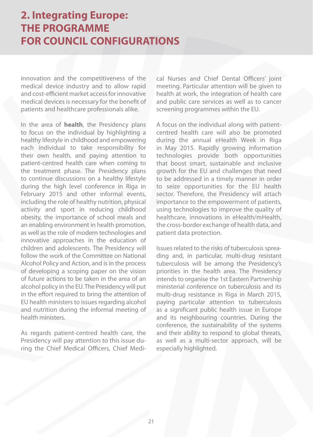innovation and the competitiveness of the medical device industry and to allow rapid and cost-efficient market access for innovative medical devices is necessary for the benefit of patients and healthcare professionals alike.

In the area of **health**, the Presidency plans to focus on the individual by highlighting a healthy lifestyle in childhood and empowering each individual to take responsibility for their own health, and paying attention to patient-centred health care when coming to the treatment phase. The Presidency plans to continue discussions on a healthy lifestyle during the high level conference in Riga in February 2015 and other informal events, including the role of healthy nutrition, physical activity and sport in reducing childhood obesity, the importance of school meals and an enabling environment in health promotion, as well as the role of modern technologies and innovative approaches in the education of children and adolescents. The Presidency will follow the work of the Committee on National Alcohol Policy and Action, and is in the process of developing a scoping paper on the vision of future actions to be taken in the area of an alcohol policy in the EU. The Presidency will put in the effort required to bring the attention of EU health ministers to issues regarding alcohol and nutrition during the informal meeting of health ministers.

As regards patient-centred health care, the Presidency will pay attention to this issue during the Chief Medical Officers, Chief Medical Nurses and Chief Dental Officers' joint meeting. Particular attention will be given to health at work, the integration of health care and public care services as well as to cancer screening programmes within the EU.

A focus on the individual along with patientcentred health care will also be promoted during the annual eHealth Week in Riga in May 2015. Rapidly growing information technologies provide both opportunities that boost smart, sustainable and inclusive growth for the EU and challenges that need to be addressed in a timely manner in order to seize opportunities for the EU health sector. Therefore, the Presidency will attach importance to the empowerment of patients, using technologies to improve the quality of healthcare, innovations in eHealth/mHealth, the cross-border exchange of health data, and patient data protection.

Issues related to the risks of tuberculosis spreading and, in particular, multi-drug resistant tuberculosis will be among the Presidency's priorities in the health area. The Presidency intends to organise the 1st Eastern Partnership ministerial conference on tuberculosis and its multi-drug resistance in Riga in March 2015, paying particular attention to tuberculosis as a significant public health issue in Europe and its neighbouring countries. During the conference, the sustainability of the systems and their ability to respond to global threats, as well as a multi-sector approach, will be especially highlighted.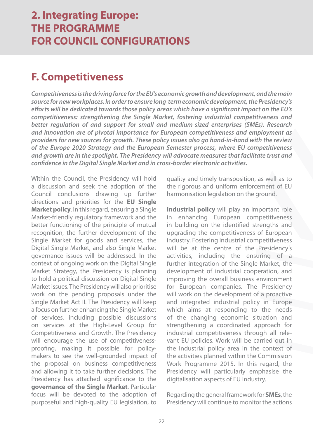### **F. Competitiveness**

**Competitiveness is the driving force for the EU's economic growth and development, and the main source for new workplaces. In order to ensure long-term economic development, the Presidency's efforts will be dedicated towards those policy areas which have a significant impact on the EU's competitiveness: strengthening the Single Market, fostering industrial competitiveness and better regulation of and support for small and medium-sized enterprises (SMEs). Research and innovation are of pivotal importance for European competitiveness and employment as providers for new sources for growth. These policy issues also go hand-in-hand with the review of the Europe 2020 Strategy and the European Semester process, where EU competitiveness and growth are in the spotlight. The Presidency will advocate measures that facilitate trust and confidence in the Digital Single Market and in cross-border electronic activities.** 

Within the Council, the Presidency will hold a discussion and seek the adoption of the Council conclusions drawing up further directions and priorities for the **EU Single Market policy**. In this regard, ensuring a Single Market-friendly regulatory framework and the better functioning of the principle of mutual recognition, the further development of the Single Market for goods and services, the Digital Single Market, and also Single Market governance issues will be addressed. In the context of ongoing work on the Digital Single Market Strategy, the Presidency is planning to hold a political discussion on Digital Single Market issues. The Presidency will also prioritise work on the pending proposals under the Single Market Act II. The Presidency will keep a focus on further enhancing the Single Market of services, including possible discussions on services at the High-Level Group for Competitiveness and Growth. The Presidency will encourage the use of competitivenessproofing, making it possible for policymakers to see the well-grounded impact of the proposal on business competitiveness and allowing it to take further decisions. The Presidency has attached significance to the **governance of the Single Market**. Particular focus will be devoted to the adoption of purposeful and high-quality EU legislation, to

quality and timely transposition, as well as to the rigorous and uniform enforcement of EU harmonisation legislation on the ground.

**Industrial policy** will play an important role in enhancing European competitiveness in building on the identified strengths and upgrading the competitiveness of European industry. Fostering industrial competitiveness will be at the centre of the Presidency's activities, including the ensuring of a further integration of the Single Market, the development of industrial cooperation, and improving the overall business environment for European companies. The Presidency will work on the development of a proactive and integrated industrial policy in Europe which aims at responding to the needs of the changing economic situation and strengthening a coordinated approach for industrial competitiveness through all relevant EU policies. Work will be carried out in the industrial policy area in the context of the activities planned within the Commission Work Programme 2015. In this regard, the Presidency will particularly emphasise the digitalisation aspects of EU industry.

Regarding the general framework for **SMEs**, the Presidency will continue to monitor the actions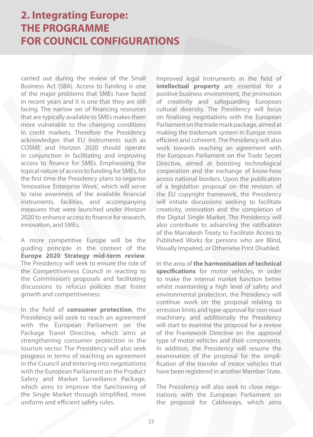carried out during the review of the Small Business Act (SBA). Access to funding is one of the major problems that SMEs have faced in recent years and it is one that they are still facing. The narrow set of financing resources that are typically available to SMEs makes them more vulnerable to the changing conditions in credit markets. Therefore the Presidency acknowledges that EU instruments such as COSME and Horizon 2020 should operate in conjunction in facilitating and improving access to finance for SMEs. Emphasising the topical nature of access to funding for SMEs, for the first time the Presidency plans to organise 'Innovative Enterprise Week', which will serve to raise awareness of the available financial instruments, facilities, and accompanying measures that were launched under Horizon 2020 to enhance access to finance for research, innovation, and SMEs.

A more competitive Europe will be the guiding principle in the context of the **Europe 2020 Strategy mid-term review**. The Presidency will seek to ensure the role of the Competitiveness Council in reacting to the Commission's proposals and facilitating discussions to refocus policies that foster growth and competitiveness.

In the field of **consumer protection**, the Presidency will seek to reach an agreement with the European Parliament on the Package Travel Directive, which aims at strengthening consumer protection in the tourism sector. The Presidency will also seek progress in terms of reaching an agreement in the Council and entering into negotiations with the European Parliament on the Product Safety and Market Surveillance Package, which aims to improve the functioning of the Single Market through simplified, more uniform and efficient safety rules.

Improved legal instruments in the field of **intellectual property** are essential for a positive business environment, the promotion of creativity and safeguarding European cultural diversity. The Presidency will focus on finalising negotiations with the European Parliament on the trade markpackage, aimed at making the trademark system in Europe more efficient and coherent. The Presidency will also work towards reaching an agreement with the European Parliament on the Trade Secret Directive, aimed at boosting technological cooperation and the exchange of know-how across national borders. Upon the publication of a legislation proposal on the revision of the EU copyright framework, the Presidency will initiate discussions seeking to facilitate creativity, innovation and the completion of the Digital Single Market. The Presidency will also contribute to advancing the ratification of the Marrakesh Treaty to Facilitate Access to Published Works for persons who are Blind, Visually Impaired, or Otherwise Print Disabled.

In the area of **the harmonisation of technical specifications** for motor vehicles, in order to make the internal market function better whilst maintaining a high level of safety and environmental protection, the Presidency will continue work on the proposal relating to emission limits and type-approval for non-road machinery, and additionally the Presidency will start to examine the proposal for a review of the Framework Directive on the approval type of motor vehicles and their components. In addition, the Presidency will resume the examination of the proposal for the simplification of the transfer of motor vehicles that have been registered in another Member State.

The Presidency will also seek to close negotiations with the European Parliament on the proposal for Cableways, which aims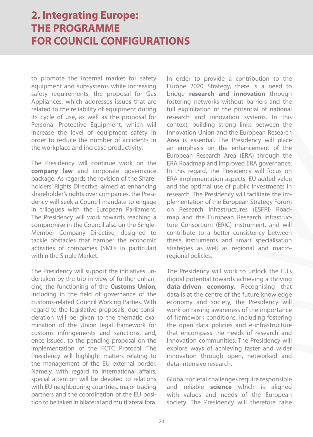to promote the internal market for safety equipment and subsystems while increasing safety requirements, the proposal for Gas Appliances, which addresses issues that are related to the reliability of equipment during its cycle of use, as well as the proposal for Personal Protective Equipment, which will increase the level of equipment safety in order to reduce the number of accidents in the workplace and increase productivity.

The Presidency will continue work on the **company law** and corporate governance package. As regards the revision of the Shareholders' Rights Directive, aimed at enhancing shareholder's rights over companies, the Presidency will seek a Council mandate to engage in trilogues with the European Parliament. The Presidency will work towards reaching a compromise in the Council also on the Single-Member Company Directive, designed to tackle obstacles that hamper the economic activities of companies (SMEs in particular) within the Single Market.

The Presidency will support the initiatives undertaken by the trio in view of further enhancing the functioning of the **Customs Union**, including in the field of governance of the customs-related Council Working Parties. With regard to the legislative proposals, due consideration will be given to the thematic examination of the Union legal framework for customs infringements and sanctions, and, once issued, to the pending proposal on the implementation of the FCTC Protocol. The Presidency will highlight matters relating to the management of the EU external border. Namely, with regard to international affairs, special attention will be devoted to relations with EU neighbouring countries, major trading partners and the coordination of the EU position to be taken in bilateral and multilateral fora. In order to provide a contribution to the Europe 2020 Strategy, there is a need to bridge **research and innovation** through fostering networks without barriers and the full exploitation of the potential of national research and innovation systems. In this context, building strong links between the Innovation Union and the European Research Area is essential. The Presidency will place an emphasis on the enhancement of the European Research Area (ERA) through the ERA Roadmap and improved ERA governance. In this regard, the Presidency will focus on ERA implementation aspects, EU added value and the optimal use of public investments in research. The Presidency will facilitate the implementation of the European Strategy Forum on Research Infrastructures (ESFRI) Roadmap and the European Research Infrastructure Consortium (ERIC) instrument, and will contribute to a better consistency between these instruments and smart specialisation strategies as well as regional and macroregional policies.

The Presidency will work to unlock the EU's digital potential towards achieving a thriving **data-driven economy**. Recognising that data is at the centre of the future knowledge economy and society, the Presidency will work on raising awareness of the importance of framework conditions, including fostering the open data policies and e-infrastructure that encompass the needs of research and innovation communities. The Presidency will explore ways of achieving faster and wider innovation through open, networked and data-intensive research.

Global societal challenges require responsible and reliable **science** which is aligned with values and needs of the European society. The Presidency will therefore raise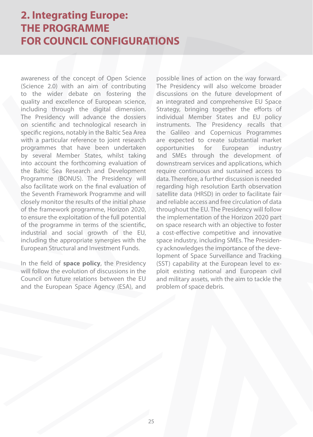awareness of the concept of Open Science (Science 2.0) with an aim of contributing to the wider debate on fostering the quality and excellence of European science, including through the digital dimension. The Presidency will advance the dossiers on scientific and technological research in specific regions, notably in the Baltic Sea Area with a particular reference to joint research programmes that have been undertaken by several Member States, whilst taking into account the forthcoming evaluation of the Baltic Sea Research and Development Programme (BONUS). The Presidency will also facilitate work on the final evaluation of the Seventh Framework Programme and will closely monitor the results of the initial phase of the framework programme, Horizon 2020, to ensure the exploitation of the full potential of the programme in terms of the scientific, industrial and social growth of the EU, including the appropriate synergies with the European Structural and Investment Funds.

In the field of **space policy**, the Presidency will follow the evolution of discussions in the Council on future relations between the EU and the European Space Agency (ESA), and

possible lines of action on the way forward. The Presidency will also welcome broader discussions on the future development of an integrated and comprehensive EU Space Strategy, bringing together the efforts of individual Member States and EU policy instruments. The Presidency recalls that the Galileo and Copernicus Programmes are expected to create substantial market opportunities for European industry and SMEs through the development of downstream services and applications, which require continuous and sustained access to data. Therefore, a further discussion is needed regarding high resolution Earth observation satellite data (HRSD) in order to facilitate fair and reliable access and free circulation of data throughout the EU. The Presidency will follow the implementation of the Horizon 2020 part on space research with an objective to foster a cost-effective competitive and innovative space industry, including SMEs. The Presidency acknowledges the importance of the development of Space Surveillance and Tracking (SST) capability at the European level to exploit existing national and European civil and military assets, with the aim to tackle the problem of space debris.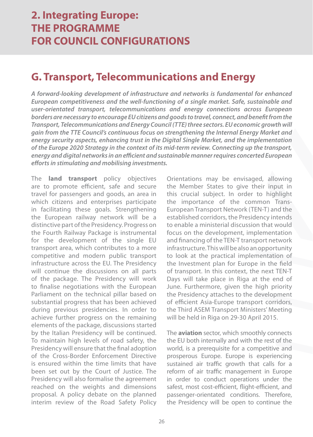#### **G. Transport, Telecommunications and Energy**

**A forward-looking development of infrastructure and networks is fundamental for enhanced European competitiveness and the well-functioning of a single market. Safe, sustainable and user-orientated transport, telecommunications and energy connections across European borders are necessary to encourage EU citizens and goods to travel, connect, and benefit from the Transport, Telecommunications and Energy Council (TTE) three sectors. EU economic growth will gain from the TTE Council's continuous focus on strengthening the Internal Energy Market and energy security aspects, enhancing trust in the Digital Single Market, and the implementation of the Europe 2020 Strategy in the context of its mid-term review. Connecting up the transport, energy and digital networks in an efficient and sustainable manner requires concerted European efforts in stimulating and mobilising investments.** 

The **land transport** policy objectives are to promote efficient, safe and secure travel for passengers and goods, an area in which citizens and enterprises participate in facilitating these goals. Strengthening the European railway network will be a distinctive part of the Presidency. Progress on the Fourth Railway Package is instrumental for the development of the single EU transport area, which contributes to a more competitive and modern public transport infrastructure across the EU. The Presidency will continue the discussions on all parts of the package. The Presidency will work to finalise negotiations with the European Parliament on the technical pillar based on substantial progress that has been achieved during previous presidencies. In order to achieve further progress on the remaining elements of the package, discussions started by the Italian Presidency will be continued. To maintain high levels of road safety, the Presidency will ensure that the final adoption of the Cross-Border Enforcement Directive is ensured within the time limits that have been set out by the Court of Justice. The Presidency will also formalise the agreement reached on the weights and dimensions proposal. A policy debate on the planned interim review of the Road Safety Policy Orientations may be envisaged, allowing the Member States to give their input in this crucial subject. In order to highlight the importance of the common Trans-European Transport Network (TEN-T) and the established corridors, the Presidency intends to enable a ministerial discussion that would focus on the development, implementation and financing of the TEN-T transport network infrastructure. This will be also an opportunity to look at the practical implementation of the Investment plan for Europe in the field of transport. In this context, the next TEN-T Days will take place in Riga at the end of June. Furthermore, given the high priority the Presidency attaches to the development of efficient Asia-Europe transport corridors, the Third ASEM Transport Ministers' Meeting will be held in Riga on 29-30 April 2015.

The **aviation** sector, which smoothly connects the EU both internally and with the rest of the world, is a prerequisite for a competitive and prosperous Europe. Europe is experiencing sustained air traffic growth that calls for a reform of air traffic management in Europe in order to conduct operations under the safest, most cost-efficient, flight-efficient, and passenger-orientated conditions. Therefore, the Presidency will be open to continue the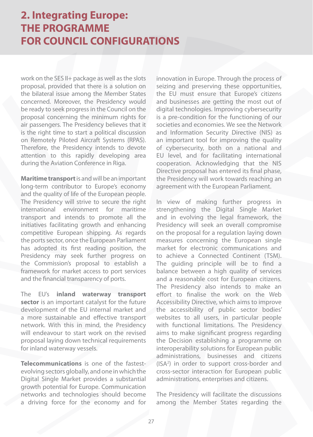work on the SES II+ package as well as the slots proposal, provided that there is a solution on the bilateral issue among the Member States concerned. Moreover, the Presidency would be ready to seek progress in the Council on the proposal concerning the minimum rights for air passengers. The Presidency believes that it is the right time to start a political discussion on Remotely Piloted Aircraft Systems (RPAS). Therefore, the Presidency intends to devote attention to this rapidly developing area during the Aviation Conference in Riga.

**Maritime transport** is and will be an important long-term contributor to Europe's economy and the quality of life of the European people. The Presidency will strive to secure the right international environment for maritime transport and intends to promote all the initiatives facilitating growth and enhancing competitive European shipping. As regards the ports sector, once the European Parliament has adopted its first reading position, the Presidency may seek further progress on the Commission's proposal to establish a framework for market access to port services and the financial transparency of ports.

The EU's **inland waterway transport sector** is an important catalyst for the future development of the EU internal market and a more sustainable and effective transport network. With this in mind, the Presidency will endeavour to start work on the revised proposal laying down technical requirements for inland waterway vessels.

**Telecommunications** is one of the fastestevolving sectors globally, and one in which the Digital Single Market provides a substantial growth potential for Europe. Communication networks and technologies should become a driving force for the economy and for

innovation in Europe. Through the process of seizing and preserving these opportunities, the EU must ensure that Europe's citizens and businesses are getting the most out of digital technologies. Improving cybersecurity is a pre-condition for the functioning of our societies and economies. We see the Network and Information Security Directive (NIS) as an important tool for improving the quality of cybersecurity, both on a national and EU level, and for facilitating international cooperation. Acknowledging that the NIS Directive proposal has entered its final phase, the Presidency will work towards reaching an agreement with the European Parliament.

In view of making further progress in strengthening the Digital Single Market and in evolving the legal framework, the Presidency will seek an overall compromise on the proposal for a regulation laying down measures concerning the European single market for electronic communications and to achieve a Connected Continent (TSM). The guiding principle will be to find a balance between a high quality of services and a reasonable cost for European citizens. The Presidency also intends to make an effort to finalise the work on the Web Accessibility Directive, which aims to improve the accessibility of public sector bodies' websites to all users, in particular people with functional limitations. The Presidency aims to make significant progress regarding the Decision establishing a programme on interoperability solutions for European public administrations, businesses and citizens (ISA2 ) in order to support cross-border and cross-sector interaction for European public administrations, enterprises and citizens.

The Presidency will facilitate the discussions among the Member States regarding the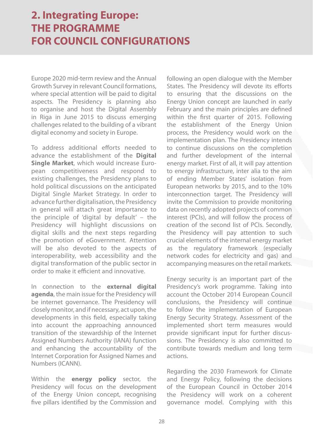Europe 2020 mid-term review and the Annual Growth Survey in relevant Council formations, where special attention will be paid to digital aspects. The Presidency is planning also to organise and host the Digital Assembly in Riga in June 2015 to discuss emerging challenges related to the building of a vibrant digital economy and society in Europe.

To address additional efforts needed to advance the establishment of the **Digital Single Market**, which would increase European competitiveness and respond to existing challenges, the Presidency plans to hold political discussions on the anticipated Digital Single Market Strategy. In order to advance further digitalisation, the Presidency in general will attach great importance to the principle of 'digital by default' – the Presidency will highlight discussions on digital skills and the next steps regarding the promotion of eGovernment. Attention will be also devoted to the aspects of interoperability, web accessibility and the digital transformation of the public sector in order to make it efficient and innovative.

In connection to the **external digital agenda**, the main issue for the Presidency will be internet governance. The Presidency will closely monitor, and if necessary, act upon, the developments in this field, especially taking into account the approaching announced transition of the stewardship of the Internet Assigned Numbers Authority (IANA) function and enhancing the accountability of the Internet Corporation for Assigned Names and Numbers (ICANN).

Within the **energy policy** sector, the Presidency will focus on the development of the Energy Union concept, recognising five pillars identified by the Commission and

following an open dialogue with the Member States. The Presidency will devote its efforts to ensuring that the discussions on the Energy Union concept are launched in early February and the main principles are defined within the first quarter of 2015. Following the establishment of the Energy Union process, the Presidency would work on the implementation plan. The Presidency intends to continue discussions on the completion and further development of the internal energy market. First of all, it will pay attention to energy infrastructure, inter alia to the aim of ending Member States' isolation from European networks by 2015, and to the 10% interconnection target. The Presidency will invite the Commission to provide monitoring data on recently adopted projects of common interest (PCIs), and will follow the process of creation of the second list of PCIs. Secondly, the Presidency will pay attention to such crucial elements of the internal energy market as the regulatory framework (especially network codes for electricity and gas) and accompanying measures on the retail markets.

Energy security is an important part of the Presidency's work programme. Taking into account the October 2014 European Council conclusions, the Presidency will continue to follow the implementation of European Energy Security Strategy. Assessment of the implemented short term measures would provide significant input for further discussions. The Presidency is also committed to contribute towards medium and long term actions.

Regarding the 2030 Framework for Climate and Energy Policy, following the decisions of the European Council in October 2014 the Presidency will work on a coherent governance model. Complying with this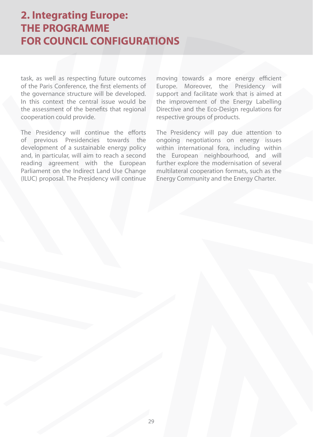task, as well as respecting future outcomes of the Paris Conference, the first elements of the governance structure will be developed. In this context the central issue would be the assessment of the benefits that regional cooperation could provide.

The Presidency will continue the efforts of previous Presidencies towards the development of a sustainable energy policy and, in particular, will aim to reach a second reading agreement with the European Parliament on the Indirect Land Use Change (ILUC) proposal. The Presidency will continue moving towards a more energy efficient Europe. Moreover, the Presidency will support and facilitate work that is aimed at the improvement of the Energy Labelling Directive and the Eco-Design regulations for respective groups of products.

The Presidency will pay due attention to ongoing negotiations on energy issues within international fora, including within the European neighbourhood, and will further explore the modernisation of several multilateral cooperation formats, such as the Energy Community and the Energy Charter.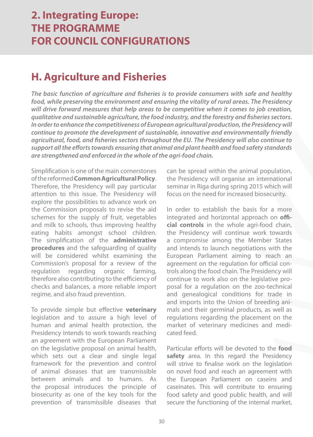#### **H. Agriculture and Fisheries**

**The basic function of agriculture and fisheries is to provide consumers with safe and healthy food, while preserving the environment and ensuring the vitality of rural areas. The Presidency will drive forward measures that help areas to be competitive when it comes to job creation, qualitative and sustainable agriculture, the food industry, and the forestry and fisheries sectors. In order to enhance the competitiveness of European agricultural production, the Presidency will continue to promote the development of sustainable, innovative and environmentally friendly agricultural, food, and fisheries sectors throughout the EU. The Presidency will also continue to support all the efforts towards ensuring that animal and plant health and food safety standards are strengthened and enforced in the whole of the agri-food chain.** 

Simplification is one of the main cornerstones of the reformed **Common Agricultural Policy**. Therefore, the Presidency will pay particular attention to this issue. The Presidency will explore the possibilities to advance work on the Commission proposals to revise the aid schemes for the supply of fruit, vegetables and milk to schools, thus improving healthy eating habits amongst school children. The simplification of the **administrative procedures** and the safeguarding of quality will be considered whilst examining the Commission's proposal for a review of the regulation regarding organic farming, therefore also contributing to the efficiency of checks and balances, a more reliable import regime, and also fraud prevention.

To provide simple but effective **veterinary** legislation and to assure a high level of human and animal health protection, the Presidency intends to work towards reaching an agreement with the European Parliament on the legislative proposal on animal health, which sets out a clear and single legal framework for the prevention and control of animal diseases that are transmissible between animals and to humans. As the proposal introduces the principle of biosecurity as one of the key tools for the prevention of transmissible diseases that can be spread within the animal population, the Presidency will organise an international seminar in Riga during spring 2015 which will focus on the need for increased biosecurity.

In order to establish the basis for a more integrated and horizontal approach on **official controls** in the whole agri-food chain, the Presidency will continue work towards a compromise among the Member States and intends to launch negotiations with the European Parliament aiming to reach an agreement on the regulation for official controls along the food chain. The Presidency will continue to work also on the legislative proposal for a regulation on the zoo-technical and genealogical conditions for trade in and imports into the Union of breeding animals and their germinal products, as well as regulations regarding the placement on the market of veterinary medicines and medicated feed.

Particular efforts will be devoted to the **food**  safety area. In this regard the Presidency will strive to finalise work on the legislation on novel food and reach an agreement with the European Parliament on caseins and caseinates. This will contribute to ensuring food safety and good public health, and will secure the functioning of the internal market,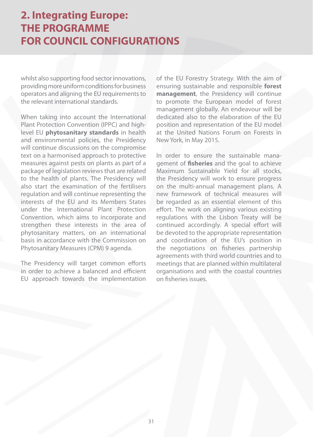whilst also supporting food sector innovations, providing more uniform conditions for business operators and aligning the EU requirements to the relevant international standards.

When taking into account the International Plant Protection Convention (IPPC) and highlevel EU **phytosanitary standards** in health and environmental policies, the Presidency will continue discussions on the compromise text on a harmonised approach to protective measures against pests on plants as part of a package of legislation reviews that are related to the health of plants. The Presidency will also start the examination of the fertilisers regulation and will continue representing the interests of the EU and its Members States under the International Plant Protection Convention, which aims to incorporate and strengthen these interests in the area of phytosanitary matters, on an international basis in accordance with the Commission on Phytosanitary Measures (CPM) 9 agenda.

The Presidency will target common efforts in order to achieve a balanced and efficient EU approach towards the implementation of the EU Forestry Strategy. With the aim of ensuring sustainable and responsible **forest management**, the Presidency will continue to promote the European model of forest management globally. An endeavour will be dedicated also to the elaboration of the EU position and representation of the EU model at the United Nations Forum on Forests in New York, in May 2015.

In order to ensure the sustainable management of **fisheries** and the goal to achieve Maximum Sustainable Yield for all stocks, the Presidency will work to ensure progress on the multi-annual management plans. A new framework of technical measures will be regarded as an essential element of this effort. The work on aligning various existing regulations with the Lisbon Treaty will be continued accordingly. A special effort will be devoted to the appropriate representation and coordination of the EU's position in the negotiations on fisheries partnership agreements with third world countries and to meetings that are planned within multilateral organisations and with the coastal countries on fisheries issues.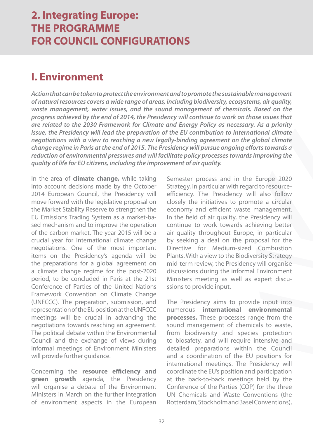#### **I. Environment**

**Action that can be taken to protect the environment and to promote the sustainable management of natural resources covers a wide range of areas, including biodiversity, ecosystems, air quality, waste management, water issues, and the sound management of chemicals. Based on the progress achieved by the end of 2014, the Presidency will continue to work on those issues that are related to the 2030 Framework for Climate and Energy Policy as necessary. As a priority issue, the Presidency will lead the preparation of the EU contribution to international climate negotiations with a view to reaching a new legally-binding agreement on the global climate change regime in Paris at the end of 2015. The Presidency will pursue ongoing efforts towards a reduction of environmental pressures and will facilitate policy processes towards improving the quality of life for EU citizens, including the improvement of air quality.**

In the area of **climate change,** while taking into account decisions made by the October 2014 European Council, the Presidency will move forward with the legislative proposal on the Market Stability Reserve to strengthen the EU Emissions Trading System as a market-based mechanism and to improve the operation of the carbon market. The year 2015 will be a crucial year for international climate change negotiations. One of the most important items on the Presidency's agenda will be the preparations for a global agreement on a climate change regime for the post-2020 period, to be concluded in Paris at the 21st Conference of Parties of the United Nations Framework Convention on Climate Change (UNFCCC). The preparation, submission, and representation of the EU position at the UNFCCC meetings will be crucial in advancing the negotiations towards reaching an agreement. The political debate within the Environmental Council and the exchange of views during informal meetings of Environment Ministers will provide further guidance.

Concerning the **resource efficiency and green growth** agenda, the Presidency will organise a debate of the Environment Ministers in March on the further integration of environment aspects in the European

Semester process and in the Europe 2020 Strategy, in particular with regard to resourceefficiency. The Presidency will also follow closely the initiatives to promote a circular economy and efficient waste management. In the field of air quality, the Presidency will continue to work towards achieving better air quality throughout Europe, in particular by seeking a deal on the proposal for the Directive for Medium-sized Combustion Plants. With a view to the Biodiversity Strategy mid-term review, the Presidency will organise discussions during the informal Environment Ministers meeting as well as expert discussions to provide input.

The Presidency aims to provide input into numerous **international environmental processes.** These processes range from the sound management of chemicals to waste, from biodiversity and species protection to biosafety, and will require intensive and detailed preparations within the Council and a coordination of the EU positions for international meetings. The Presidency will coordinate the EU's position and participation at the back-to-back meetings held by the Conference of the Parties (COP) for the three UN Chemicals and Waste Conventions (the Rotterdam, Stockholm and Basel Conventions),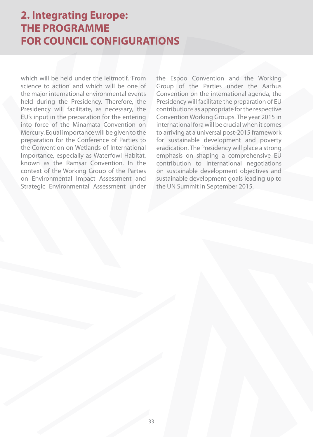which will be held under the leitmotif, 'From science to action' and which will be one of the major international environmental events held during the Presidency. Therefore, the Presidency will facilitate, as necessary, the EU's input in the preparation for the entering into force of the Minamata Convention on Mercury. Equal importance will be given to the preparation for the Conference of Parties to the Convention on Wetlands of International Importance, especially as Waterfowl Habitat, known as the Ramsar Convention. In the context of the Working Group of the Parties on Environmental Impact Assessment and Strategic Environmental Assessment under the Espoo Convention and the Working Group of the Parties under the Aarhus Convention on the international agenda, the Presidency will facilitate the preparation of EU contributions as appropriate for the respective Convention Working Groups. The year 2015 in international fora will be crucial when it comes to arriving at a universal post-2015 framework for sustainable development and poverty eradication. The Presidency will place a strong emphasis on shaping a comprehensive EU contribution to international negotiations on sustainable development objectives and sustainable development goals leading up to the UN Summit in September 2015.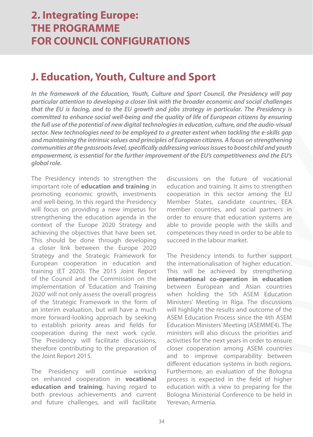#### **J. Education, Youth, Culture and Sport**

**In the framework of the Education, Youth, Culture and Sport Council, the Presidency will pay particular attention to developing a closer link with the broader economic and social challenges that the EU is facing, and to the EU growth and jobs strategy in particular. The Presidency is committed to enhance social well-being and the quality of life of European citizens by ensuring the full use of the potential of new digital technologies in education, culture, and the audio-visual sector. New technologies need to be employed to a greater extent when tackling the e-skills gap and maintaining the intrinsic values and principles of European citizens. A focus on strengthening communities at the grassroots level, specifically addressing various issues to boost child and youth empowerment, is essential for the further improvement of the EU's competitiveness and the EU's global role.** 

The Presidency intends to strengthen the important role of **education and training** in promoting economic growth, investments and well-being. In this regard the Presidency will focus on providing a new impetus for strengthening the education agenda in the context of the Europe 2020 Strategy and achieving the objectives that have been set. This should be done through developing a closer link between the Europe 2020 Strategy and the Strategic Framework for European cooperation in education and training (ET 2020). The 2015 Joint Report of the Council and the Commission on the implementation of 'Education and Training 2020' will not only assess the overall progress of the Strategic Framework in the form of an interim evaluation, but will have a much more forward-looking approach by seeking to establish priority areas and fields for cooperation during the next work cycle. The Presidency will facilitate discussions, therefore contributing to the preparation of the Joint Report 2015.

The Presidency will continue working on enhanced cooperation in **vocational education and training**, having regard to both previous achievements and current and future challenges, and will facilitate

discussions on the future of vocational education and training. It aims to strengthen cooperation in this sector among the EU Member States, candidate countries, EEA member countries, and social partners in order to ensure that education systems are able to provide people with the skills and competences they need in order to be able to succeed in the labour market.

The Presidency intends to further support the internationalisation of higher education. This will be achieved by strengthening **international co-operation in education** between European and Asian countries when holding the 5th ASEM Education Ministers' Meeting in Riga. The discussions will highlight the results and outcome of the ASEM Education Process since the 4th ASEM Education Ministers' Meeting (ASEMME4). The ministers will also discuss the priorities and activities for the next years in order to ensure closer cooperation among ASEM countries and to improve comparability between different education systems in both regions. Furthermore, an evaluation of the Bologna process is expected in the field of higher education with a view to preparing for the Bologna Ministerial Conference to be held in Yerevan, Armenia.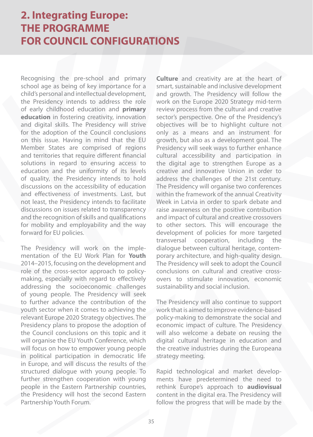Recognising the pre-school and primary school age as being of key importance for a child's personal and intellectual development, the Presidency intends to address the role of early childhood education and **primary education** in fostering creativity, innovation and digital skills. The Presidency will strive for the adoption of the Council conclusions on this issue. Having in mind that the EU Member States are comprised of regions and territories that require different financial solutions in regard to ensuring access to education and the uniformity of its levels of quality, the Presidency intends to hold discussions on the accessibility of education and effectiveness of investments. Last, but not least, the Presidency intends to facilitate discussions on issues related to transparency and the recognition of skills and qualifications for mobility and employability and the way forward for EU policies.

The Presidency will work on the implementation of the EU Work Plan for **Youth** 2014–2015, focusing on the development and role of the cross-sector approach to policymaking, especially with regard to effectively addressing the socioeconomic challenges of young people. The Presidency will seek to further advance the contribution of the youth sector when it comes to achieving the relevant Europe 2020 Strategy objectives. The Presidency plans to propose the adoption of the Council conclusions on this topic and it will organise the EU Youth Conference, which will focus on how to empower young people in political participation in democratic life in Europe, and will discuss the results of the structured dialogue with young people. To further strengthen cooperation with young people in the Eastern Partnership countries, the Presidency will host the second Eastern Partnership Youth Forum.

**Culture** and creativity are at the heart of smart, sustainable and inclusive development and growth. The Presidency will follow the work on the Europe 2020 Strategy mid-term review process from the cultural and creative sector's perspective. One of the Presidency's objectives will be to highlight culture not only as a means and an instrument for growth, but also as a development goal. The Presidency will seek ways to further enhance cultural accessibility and participation in the digital age to strengthen Europe as a creative and innovative Union in order to address the challenges of the 21st century. The Presidency will organise two conferences within the framework of the annual Creativity Week in Latvia in order to spark debate and raise awareness on the positive contribution and impact of cultural and creative crossovers to other sectors. This will encourage the development of policies for more targeted transversal cooperation, including the dialogue between cultural heritage, contemporary architecture, and high-quality design. The Presidency will seek to adopt the Council conclusions on cultural and creative crossovers to stimulate innovation, economic sustainability and social inclusion.

The Presidency will also continue to support work that is aimed to improve evidence-based policy-making to demonstrate the social and economic impact of culture. The Presidency will also welcome a debate on reusing the digital cultural heritage in education and the creative industries during the Europeana strategy meeting.

Rapid technological and market developments have predetermined the need to rethink Europe's approach to **audiovisual** content in the digital era. The Presidency will follow the progress that will be made by the